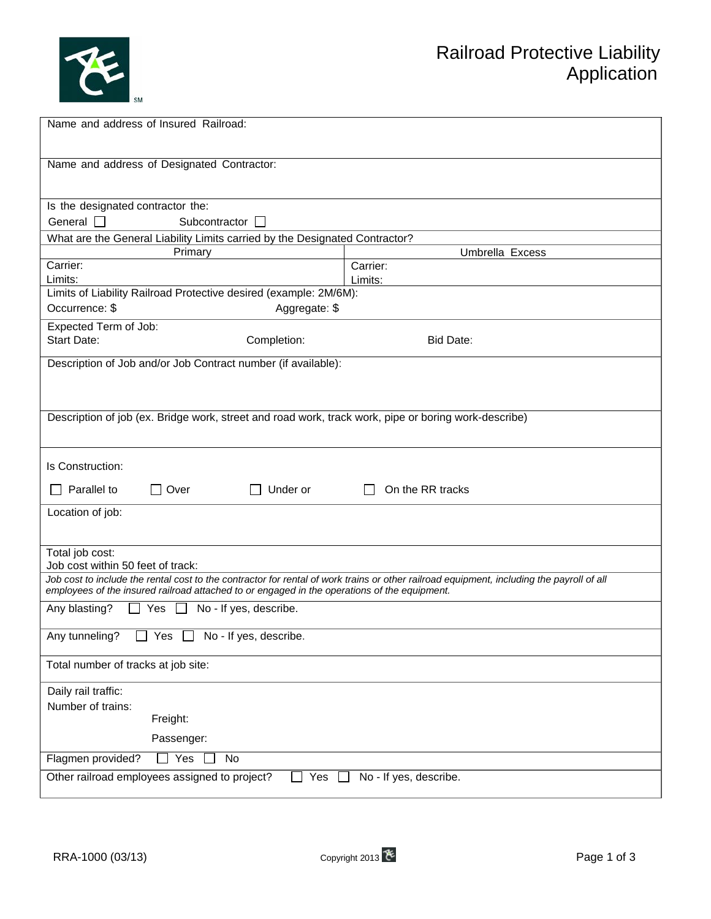

| Name and address of Insured Railroad:                                                                                                                                          |                     |  |  |  |
|--------------------------------------------------------------------------------------------------------------------------------------------------------------------------------|---------------------|--|--|--|
|                                                                                                                                                                                |                     |  |  |  |
| Name and address of Designated Contractor:                                                                                                                                     |                     |  |  |  |
|                                                                                                                                                                                |                     |  |  |  |
| Is the designated contractor the:                                                                                                                                              |                     |  |  |  |
| General $\Box$<br>Subcontractor $\square$                                                                                                                                      |                     |  |  |  |
| What are the General Liability Limits carried by the Designated Contractor?                                                                                                    |                     |  |  |  |
| Primary                                                                                                                                                                        | Umbrella Excess     |  |  |  |
| Carrier:<br>Limits:                                                                                                                                                            | Carrier:<br>Limits: |  |  |  |
| Limits of Liability Railroad Protective desired (example: 2M/6M):                                                                                                              |                     |  |  |  |
| Occurrence: \$<br>Aggregate: \$                                                                                                                                                |                     |  |  |  |
| Expected Term of Job:                                                                                                                                                          |                     |  |  |  |
| <b>Start Date:</b><br>Completion:                                                                                                                                              | Bid Date:           |  |  |  |
| Description of Job and/or Job Contract number (if available):                                                                                                                  |                     |  |  |  |
|                                                                                                                                                                                |                     |  |  |  |
|                                                                                                                                                                                |                     |  |  |  |
| Description of job (ex. Bridge work, street and road work, track work, pipe or boring work-describe)                                                                           |                     |  |  |  |
|                                                                                                                                                                                |                     |  |  |  |
| Is Construction:                                                                                                                                                               |                     |  |  |  |
| Under or<br>Parallel to<br>Over                                                                                                                                                | On the RR tracks    |  |  |  |
|                                                                                                                                                                                |                     |  |  |  |
| Location of job:                                                                                                                                                               |                     |  |  |  |
|                                                                                                                                                                                |                     |  |  |  |
| Total job cost:                                                                                                                                                                |                     |  |  |  |
| Job cost within 50 feet of track:<br>Job cost to include the rental cost to the contractor for rental of work trains or other railroad equipment, including the payroll of all |                     |  |  |  |
| employees of the insured railroad attached to or engaged in the operations of the equipment.                                                                                   |                     |  |  |  |
| $\Box$ Yes<br>No - If yes, describe.<br>Any blasting?<br>$\perp$                                                                                                               |                     |  |  |  |
| □ Yes □ No - If yes, describe.<br>Any tunneling?                                                                                                                               |                     |  |  |  |
| Total number of tracks at job site:                                                                                                                                            |                     |  |  |  |
| Daily rail traffic:                                                                                                                                                            |                     |  |  |  |
| Number of trains:                                                                                                                                                              |                     |  |  |  |
| Freight:                                                                                                                                                                       |                     |  |  |  |
| Passenger:                                                                                                                                                                     |                     |  |  |  |
| Flagmen provided?<br>Yes<br>No<br>l 1                                                                                                                                          |                     |  |  |  |
| Other railroad employees assigned to project?<br>Yes<br>No - If yes, describe.                                                                                                 |                     |  |  |  |
|                                                                                                                                                                                |                     |  |  |  |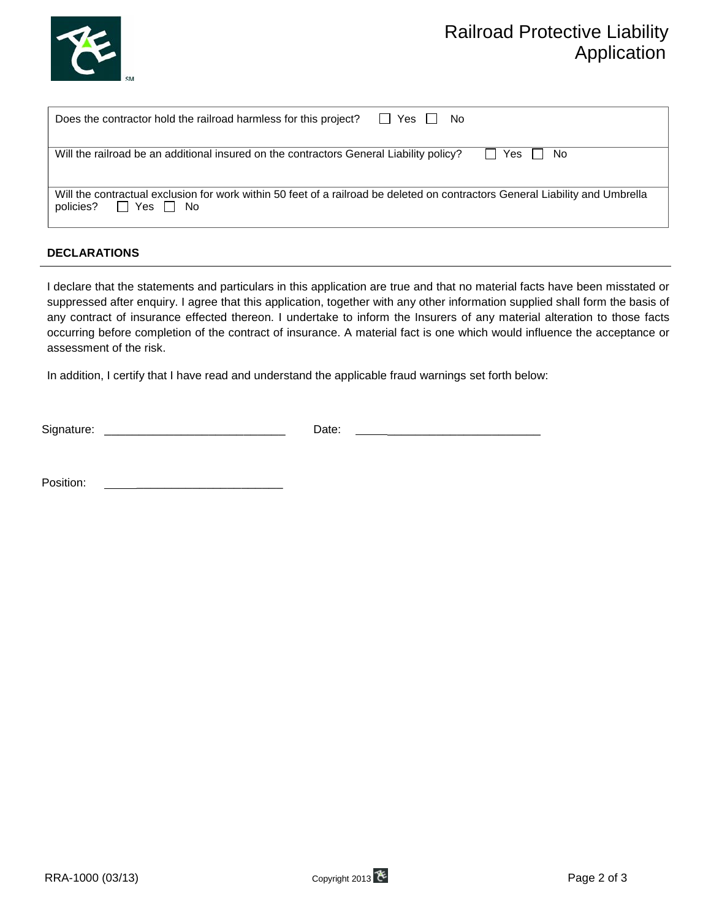

# Railroad Protective Liability Application

| II Yes II<br>Does the contractor hold the railroad harmless for this project?<br>No.                                                                       |
|------------------------------------------------------------------------------------------------------------------------------------------------------------|
| Will the railroad be an additional insured on the contractors General Liability policy?<br>l I Yes I I<br>No.                                              |
| Will the contractual exclusion for work within 50 feet of a railroad be deleted on contractors General Liability and Umbrella<br>II Yes II No<br>policies? |

### **DECLARATIONS**

I declare that the statements and particulars in this application are true and that no material facts have been misstated or suppressed after enquiry. I agree that this application, together with any other information supplied shall form the basis of any contract of insurance effected thereon. I undertake to inform the Insurers of any material alteration to those facts occurring before completion of the contract of insurance. A material fact is one which would influence the acceptance or assessment of the risk.

In addition, I certify that I have read and understand the applicable fraud warnings set forth below:

| Sign<br>------ |               |  |
|----------------|---------------|--|
| uu v.          | uw.<br>-<br>. |  |
|                |               |  |

Position: